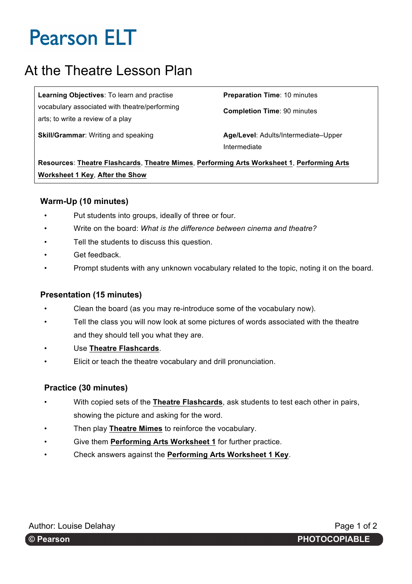# At the Theatre Lesson Plan

**Learning Objectives**: To learn and practise vocabulary associated with theatre/performing arts; to write a review of a play

**Preparation Time**: 10 minutes

**Completion Time**: 90 minutes

**Skill/Grammar:** Writing and speaking **Age/Level: Adults/Intermediate-Upper** Intermediate

**Resources**: **Theatre Flashcards**, **Theatre Mimes**, **Performing Arts Worksheet 1**, **Performing Arts Worksheet 1 Key**, **After the Show**

### **Warm-Up (10 minutes)**

- Put students into groups, ideally of three or four.
- Write on the board: *What is the difference between cinema and theatre?*
- Tell the students to discuss this question.
- Get feedback.
- Prompt students with any unknown vocabulary related to the topic, noting it on the board.

### **Presentation (15 minutes)**

- Clean the board (as you may re-introduce some of the vocabulary now).
- Tell the class you will now look at some pictures of words associated with the theatre and they should tell you what they are.
- Use **Theatre Flashcards**.
- Elicit or teach the theatre vocabulary and drill pronunciation.

### **Practice (30 minutes)**

- With copied sets of the **Theatre Flashcards**, ask students to test each other in pairs, showing the picture and asking for the word.
- Then play **Theatre Mimes** to reinforce the vocabulary.
- Give them **Performing Arts Worksheet 1** for further practice.
- Check answers against the **Performing Arts Worksheet 1 Key**.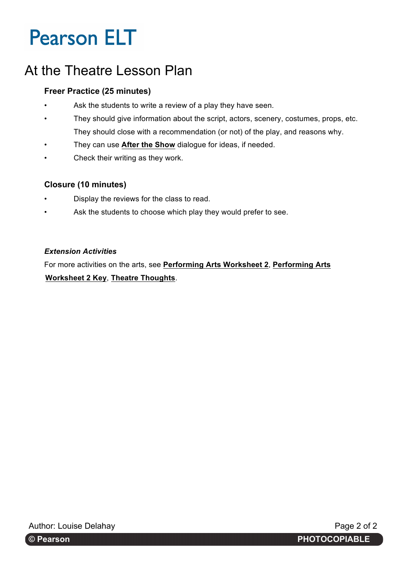# At the Theatre Lesson Plan

## **Freer Practice (25 minutes)**

- Ask the students to write a review of a play they have seen.
- They should give information about the script, actors, scenery, costumes, props, etc. They should close with a recommendation (or not) of the play, and reasons why.
- They can use After the Show dialogue for ideas, if needed.
- Check their writing as they work.

### **Closure (10 minutes)**

- Display the reviews for the class to read.
- Ask the students to choose which play they would prefer to see.

### *Extension Activities*

For more activities on the arts, see **Performing Arts Worksheet 2**, **Performing Arts Worksheet 2 Key**, **Theatre Thoughts**.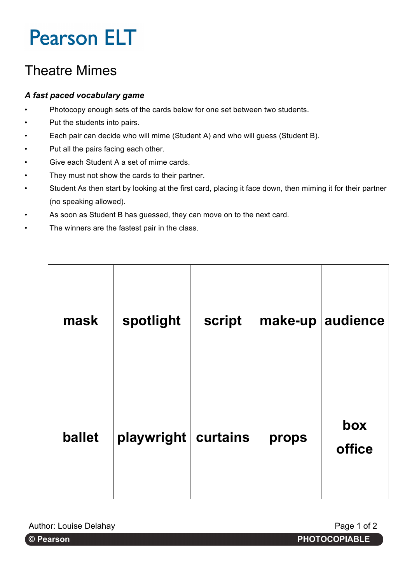# Theatre Mimes

## *A fast paced vocabulary game*

- Photocopy enough sets of the cards below for one set between two students.
- Put the students into pairs.
- Each pair can decide who will mime (Student A) and who will guess (Student B).
- Put all the pairs facing each other.
- Give each Student A a set of mime cards.
- They must not show the cards to their partner.
- Student As then start by looking at the first card, placing it face down, then miming it for their partner (no speaking allowed).
- As soon as Student B has guessed, they can move on to the next card.
- The winners are the fastest pair in the class.

| mask   | spotlight  | script   | make-up | audience      |
|--------|------------|----------|---------|---------------|
| ballet | playwright | curtains | props   | box<br>office |

Author: Louise Delahay **Page 1 of 2** Author: Louise Delahay

r: Katie Jones. **© Pearson PHOTOCOPIABLE**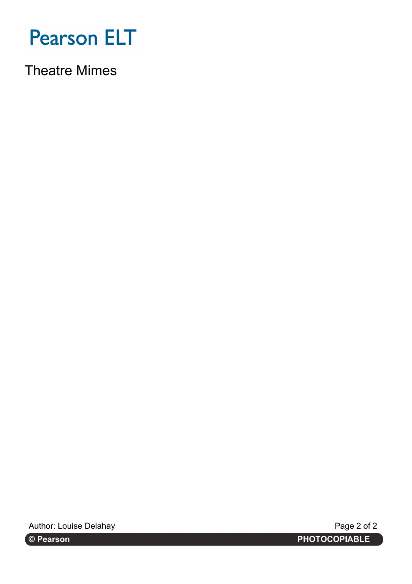

Theatre Mimes

Author: Louise Delahay **Page 2 of 2** Author: Louise Delahay

r: Katie Jones. **© Pearson PHOTOCOPIABLE**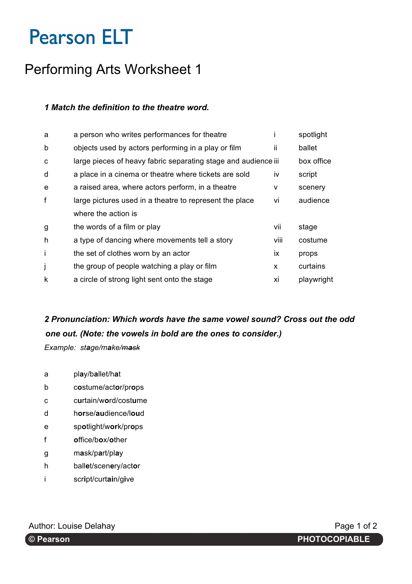# Performing Arts Worksheet 1

## *1 Match the definition to the theatre word.*

| a person who writes performances for theatre            |      | spotlight                                                      |
|---------------------------------------------------------|------|----------------------------------------------------------------|
| objects used by actors performing in a play or film     | ii.  | ballet                                                         |
|                                                         |      | box office                                                     |
| a place in a cinema or theatre where tickets are sold   | iv   | script                                                         |
| a raised area, where actors perform, in a theatre       | v    | scenery                                                        |
| large pictures used in a theatre to represent the place | vi   | audience                                                       |
| where the action is                                     |      |                                                                |
| the words of a film or play                             | vii  | stage                                                          |
| a type of dancing where movements tell a story          | viii | costume                                                        |
| the set of clothes worn by an actor                     | ix   | props                                                          |
| the group of people watching a play or film             | X    | curtains                                                       |
| a circle of strong light sent onto the stage            | хi   | playwright                                                     |
|                                                         |      | large pieces of heavy fabric separating stage and audience iii |

## *2 Pronunciation: Which words have the same vowel sound? Cross out the odd one out. (Note: the vowels in bold are the ones to consider.)*

*Example: stage/make/mask*

- a pl**a**y/b**a**llet/h**a**t
- b c**o**stume/act**o**r/pr**o**ps
- c c**u**rtain/w**o**rd/cost**u**me
- d h**or**se/**au**dience/l**ou**d
- e sp**o**tlight/w**or**k/pr**o**ps
- f **o**ffice/b**o**x/**o**ther
- g m**a**sk/p**a**rt/pl**a**y
- h ball**e**t/scen**e**ry/act**o**r
- i scr**i**pt/curt**ai**n/g**i**ve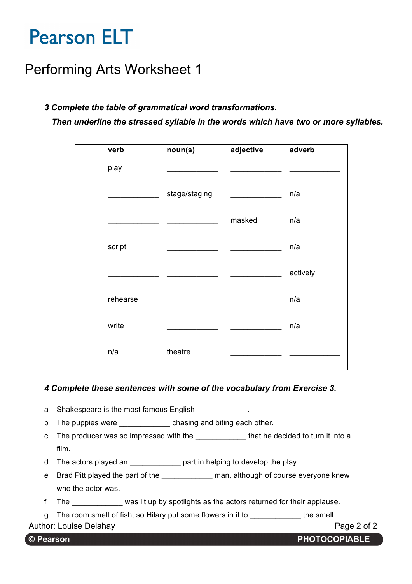## Performing Arts Worksheet 1

### *3 Complete the table of grammatical word transformations.*

*Then underline the stressed syllable in the words which have two or more syllables.*

| verb     | noun(s)       | adjective | adverb   |
|----------|---------------|-----------|----------|
| play     |               |           |          |
|          | stage/staging |           | n/a      |
|          |               | masked    | n/a      |
| script   |               |           | n/a      |
|          |               |           | actively |
| rehearse |               |           | n/a      |
| write    |               |           | n/a      |
| n/a      | theatre       |           |          |

### *4 Complete these sentences with some of the vocabulary from Exercise 3.*

- a Shakespeare is the most famous English \_\_\_\_\_\_\_\_\_\_\_.
- b The puppies were **Example 1** chasing and biting each other.
- c The producer was so impressed with the that he decided to turn it into a film.
- d The actors played an \_\_\_\_\_\_\_\_\_\_\_\_ part in helping to develop the play.
- e Brad Pitt played the part of the example man, although of course everyone knew who the actor was.
- f The was lit up by spotlights as the actors returned for their applause.
- g The room smelt of fish, so Hilary put some flowers in it to the smell.

Author: Louise Delahay **Page 2 of 2** Author: Louise Delahay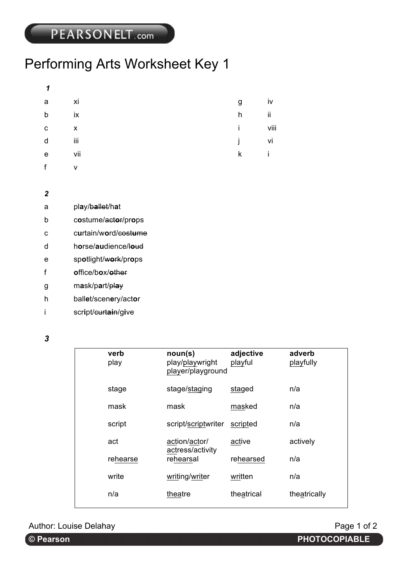# Performing Arts Worksheet Key 1

| a l | $\overline{\mathsf{x}}$ i | g            | iv   |
|-----|---------------------------|--------------|------|
| b   | ix                        | h            | ij   |
| с   | $\mathsf{X}$              | i.           | viii |
| d   | iii                       | i.           | vi   |
| e   | vii                       | $\mathsf{k}$ | Ĺ    |
| f   | $\mathsf{v}$              |              |      |
|     |                           |              |      |

- *2*
- a pl**a**y/b**a**llet/h**a**t
- b c**o**stume/act**o**r/pr**o**ps
- c c**u**rtain/w**o**rd/cost**u**me
- d h**o**rse/**au**dience/l**o**ud
- e sp**o**tlight/w**o**rk/pr**o**ps
- f **o**ffice/b**o**x/**o**ther
- g m**a**sk/p**a**rt/pl**a**y
- h ball**e**t/scen**e**ry/act**o**r
- i script/<del>curtain</del>/give

*3*

| verb<br>play | noun(s)<br>play/playwright<br>player/playground | adjective<br>playful | adverb<br>playfully |
|--------------|-------------------------------------------------|----------------------|---------------------|
| stage        | stage/staging                                   | staged               | n/a                 |
| mask         | mask                                            | masked               | n/a                 |
| script       | script/scriptwriter                             | scripted             | n/a                 |
| act          | action/actor/<br>actress/activity               | active               | actively            |
| rehearse     | rehearsal                                       | rehearsed            | n/a                 |
| write        | writing/writer                                  | written              | n/a                 |
| n/a          | theatre                                         | theatrical           | theatrically        |
|              |                                                 |                      |                     |

Author: Louise Delahay **Page 1 of 2** Author: Louise Delahay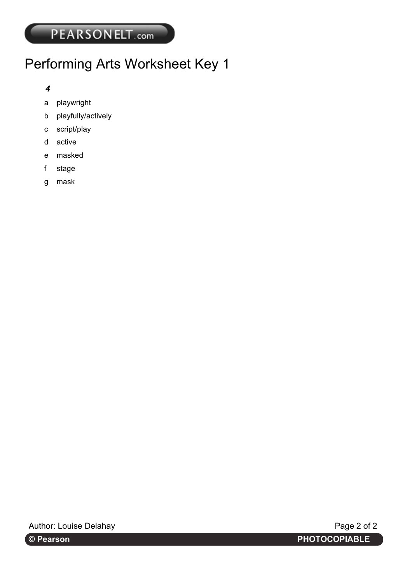# Performing Arts Worksheet Key 1

## *4*

- a playwright
- b playfully/actively
- c script/play
- d active
- e masked
- f stage
- g mask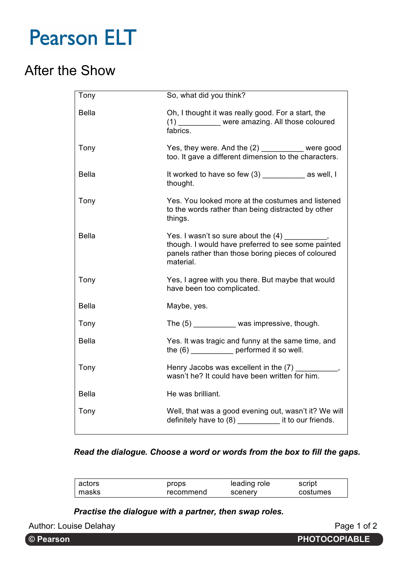# After the Show

| Tony         | So, what did you think?                                                                                                                                                  |  |
|--------------|--------------------------------------------------------------------------------------------------------------------------------------------------------------------------|--|
| <b>Bella</b> | Oh, I thought it was really good. For a start, the<br>(1) ___________ were amazing. All those coloured<br>fabrics.                                                       |  |
| Tony         | Yes, they were. And the (2) __________ were good<br>too. It gave a different dimension to the characters.                                                                |  |
| <b>Bella</b> | It worked to have so few (3) ______________ as well, I<br>thought.                                                                                                       |  |
| Tony         | Yes. You looked more at the costumes and listened<br>to the words rather than being distracted by other<br>things.                                                       |  |
| <b>Bella</b> | Yes. I wasn't so sure about the (4) __________,<br>though. I would have preferred to see some painted<br>panels rather than those boring pieces of coloured<br>material. |  |
| Tony         | Yes, I agree with you there. But maybe that would<br>have been too complicated.                                                                                          |  |
| <b>Bella</b> | Maybe, yes.                                                                                                                                                              |  |
| Tony         | The (5) ___________ was impressive, though.                                                                                                                              |  |
| <b>Bella</b> | Yes. It was tragic and funny at the same time, and<br>the (6) _______________ performed it so well.                                                                      |  |
| Tony         | Henry Jacobs was excellent in the (7)<br>wasn't he? It could have been written for him.                                                                                  |  |
| Bella        | He was brilliant.                                                                                                                                                        |  |
| Tony         | Well, that was a good evening out, wasn't it? We will<br>definitely have to (8) it to our friends.                                                                       |  |

### *Read the dialogue. Choose a word or words from the box to fill the gaps.*

| actors | props     | leading role | script   |
|--------|-----------|--------------|----------|
| masks  | recommend | scenery      | costumes |

*Practise the dialogue with a partner, then swap roles.*

Author: Louise Delahay **Page 1 of 2** Author: Louise Delahay